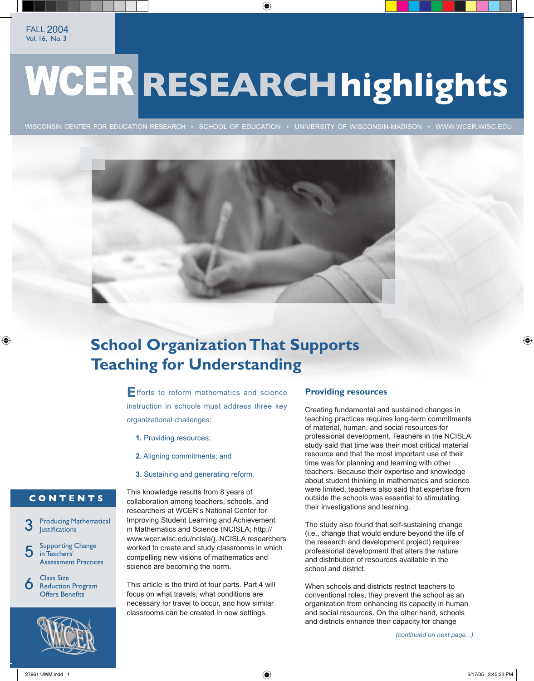# **WCER RESEARCH highlights**

WISCONSIN CENTER FOR EDUCATION RESEARCH · SCHOOL OF EDUCATION · UNIVERSITY OF WISCONSIN-MADISON · WWW.WCER.WISC.EDU



# **School Organization That Supports Teaching for Understanding**

**E**fforts to reform mathematics and science instruction in schools must address three key organizational challenges:

- **1.** Providing resources;
- **2.** Aligning commitments; and
- **3.** Sustaining and generating reform.

## CONTENTS

Producing Mathematical **Justifications** 3

Supporting Change in Teachers' Assessment Practices 5

Class Size Reduction Program **Offers Benefits** 6



This knowledge results from 8 years of collaboration among teachers, schools, and researchers at WCER's National Center for Improving Student Learning and Achievement in Mathematics and Science (NCISLA; http:// www.wcer.wisc.edu/ncisla/). NCISLA researchers worked to create and study classrooms in which compelling new visions of mathematics and science are becoming the norm.

This article is the third of four parts. Part 4 will focus on what travels, what conditions are necessary for travel to occur, and how similar classrooms can be created in new settings.

## **Providing resources**

Creating fundamental and sustained changes in teaching practices requires long-term commitments of material, human, and social resources for professional development. Teachers in the NCISLA study said that time was their most critical material resource and that the most important use of their time was for planning and learning with other teachers. Because their expertise and knowledge about student thinking in mathematics and science were limited, teachers also said that expertise from outside the schools was essential to stimulating their investigations and learning.

The study also found that self-sustaining change (i.e., change that would endure beyond the life of the research and development project) requires professional development that alters the nature and distribution of resources available in the school and district.

When schools and districts restrict teachers to conventional roles, they prevent the school as an organization from enhancing its capacity in human and social resources. On the other hand, schools and districts enhance their capacity for change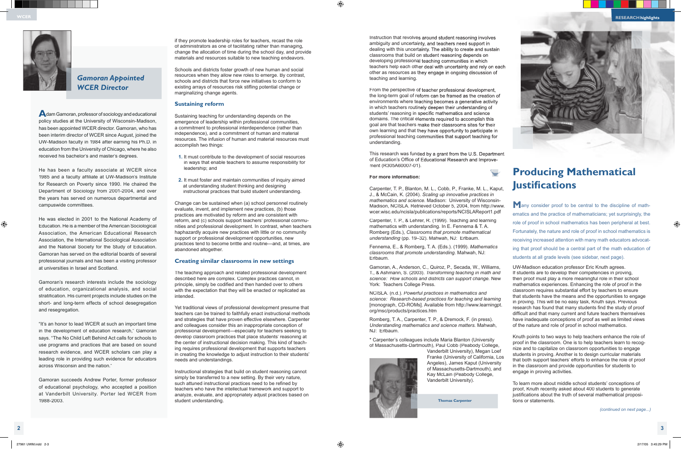# **Producing Mathematical Justifi cations**

**M**any consider proof to be central to the discipline of mathematics and the practice of mathematicians; yet surprisingly, the role of proof in school mathematics has been peripheral at best. Fortunately, the nature and role of proof in school mathematics is receiving increased attention with many math educators advocating that proof should be a central part of the math education of students at all grade levels (see sidebar, next page).

Knuth points to two ways to help teachers enhance the role of proof in the classroom. One is to help teachers learn to recognize and to capitalize on classroom opportunities to engage students in proving. Another is to design curricular materials that both support teachers' efforts to enhance the role of proof in the classroom and provide opportunities for students to engage in proving activities.

To learn more about middle school students' conceptions of proof, Knuth recently asked about 400 students to generate justifications about the truth of several mathematical propositions or statements.



**A**dam Gamoran, professor of sociology and educational policy studies at the University of Wisconsin-Madison, has been appointed WCER director. Gamoran, who has been interim director of WCER since August, joined the UW-Madison faculty in 1984 after earning his Ph.D. in education from the University of Chicago, where he also received his bachelor's and master's degrees.

He has been a faculty associate at WCER since 1985 and a faculty affiliate at UW-Madison's Institute for Research on Poverty since 1990. He chaired the Department of Sociology from 2001-2004, and over the years has served on numerous departmental and campuswide committees.

He was elected in 2001 to the National Academy of Education. He is a member of the American Sociological Association, the American Educational Research Association, the International Sociological Association and the National Society for the Study of Education. Gamoran has served on the editorial boards of several professional journals and has been a visiting professor at universities in Israel and Scotland.

Gamoran's research interests include the sociology of education, organizational analysis, and social stratification. His current projects include studies on the short- and long-term effects of school desegregation and resegregation.

"It's an honor to lead WCER at such an important time in the development of education research," Gamoran says. "The No Child Left Behind Act calls for schools to use programs and practices that are based on sound research evidence, and WCER scholars can play a leading role in providing such evidence for educators across Wisconsin and the nation."

Gamoran succeeds Andrew Porter, former professor of educational psychology, who accepted a position at Vanderbilt University. Porter led WCER from 1988-2003.

# *Gamoran Appointed WCER Director*

 **Thomas Carpenter**

if they promote leadership roles for teachers, recast the role of administrators as one of facilitating rather than managing, change the allocation of time during the school day, and provide materials and resources suitable to new teaching endeavors.

Schools and districts foster growth of new human and social resources when they allow new roles to emerge. By contrast, schools and districts that force new initiatives to conform to existing arrays of resources risk stifling potential change or marginalizing change agents.

## **Sustaining reform**

Sustaining teaching for understanding depends on the emergence of leadership within professional communities, a commitment to professional interdependence (rather than independence), and a commitment of human and material resources. The infusion of human and material resources must accomplish two things:

- **1.** It must contribute to the development of social resources in ways that enable teachers to assume responsibility for leadership; and
- **2.** It must foster and maintain communities of inquiry aimed at understanding student thinking and designing instructional practices that build student understanding.

UW-Madison education professor Eric Knuth agrees. If students are to develop their competencies in proving, then proof must play a more meaningful role in their school mathematics experiences. Enhancing the role of proof in the classroom requires substantial effort by teachers to ensure that students have the means and the opportunities to engage in proving. This will be no easy task, Knuth says. Previous research has found that many students find the study of proof difficult and that many current and future teachers themselves have inadequate conceptions of proof as well as limited views of the nature and role of proof in school mathematics. Gamoran, A., Anderson, C., Quiroz, P., Secada, W., Williams, T., & Ashmann, S. (2003). *Transforming teaching in math and science: How schools and districts can support change.* New NCISLA. (n.d.). *Powerful practices in mathematics and science: Research-based practices for teaching and learning* [monograph, CD-ROMs]. Available from http://www.learningpt. org/msc/products/practices.htm Romberg, T. A., Carpenter, T. P., & Dremock, F. (in press). *Understanding mathematics and science matters.* Mahwah,

Change can be sustained when (a) school personnel routinely evaluate, invent, and implement new practices, (b) those practices are motivated by reform and are consistent with reform, and (c) schools support teachers' professional communities and professional development. In contrast, when teachers haphazardly acquire new practices with little or no community support or professional development opportunities, new practices tend to become brittle and routine—and, at times, are abandoned altogether.

## **Creating similar classrooms in new settings**

The teaching approach and related professional development described here are complex. Complex practices cannot, in principle, simply be codified and then handed over to others with the expectation that they will be enacted or replicated as intended.

Yet traditional views of professional development presume that teachers can be trained to faithfully enact instructional methods and strategies that have proven effective elsewhere. Carpenter and colleagues consider this an inappropriate conception of professional development—especially for teachers seeking to develop classroom practices that place students' reasoning at the center of instructional decision making. This kind of teaching requires professional development that supports teachers in creating the knowledge to adjust instruction to their students' needs and understandings.

Instructional strategies that build on student reasoning cannot simply be transferred to a new setting. By their very nature, such attuned instructional practices need to be refined by teachers who have the intellectual framework and support to analyze, evaluate, and appropriately adjust practices based on student understanding.

Instruction that revolves around student reasoning involves ambiguity and uncertainty, and teachers need support in dealing with this uncertainty. The ability to create and sustain classrooms that build on student reasoning depends on developing professional teaching communities in which teachers help each other deal with uncertainty and rely on each other as resources as they engage in ongoing discussion of teaching and learning.

From the perspective of teacher professional development, the long-term goal of reform can be framed as the creation of environments where teaching becomes a generative activity in which teachers routinely deepen their understanding of students' reasoning in specific mathematics and science domains. The critical elements required to accomplish this goal are that teachers make their classrooms sites for their own learning and that they have opportunity to participate in professional teaching communities that support teaching for understanding.

This research was funded by a grant from the U.S. Department of Education's Office of Educational Research and Improvement (R305A60007-01).

#### **For more information:**

Carpenter, T. P., Blanton, M. L., Cobb, P., Franke, M. L., Kaput, J., & McCain, K. (2004). *Scaling up innovative practices in mathematics and science.* Madison: University of Wisconsin-Madison, NCISLA. Retrieved October 5, 2004, from http://www. wcer.wisc.edu/ncisla/publications/reports/NCISLAReport1.pdf Carpenter, T. P., & Lehrer, R. (1999). Teaching and learning

mathematics with understanding. In E. Fennema & T. A. Romberg (Eds.), *Classrooms that promote mathematical understanding* (pp. 19–32). Mahwah, NJ: Erlbaum.

Fennema, E., & Romberg, T. A. (Eds.). (1999). *Mathematics classrooms that promote understanding.* Mahwah, NJ: Erlbaum.

York: Teachers College Press.

NJ: Erlbaum.

\* Carpenter's colleagues include Maria Blanton (University of Massachusetts-Dartmouth), Paul Cobb (Peabody College,



Vanderbilt University), Megan Loef Franke (University of California, Los Angeles), James Kaput (University of Massachusetts-Dartmouth), and Kay McLain (Peabody College, Vanderbilt University).



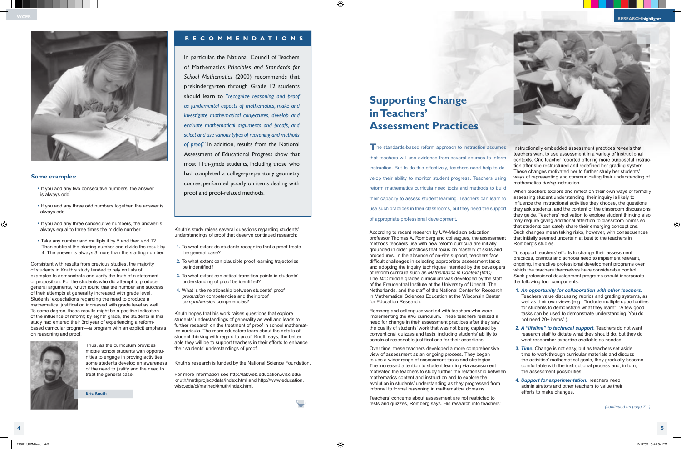Knuth's study raises several questions regarding students' understandings of proof that deserve continued research:

- **1.** To what extent do students recognize that a proof treats the general case?
- **2.** To what extent can plausible proof learning trajectories be indentified?
- **3.** To what extent can critical transition points in students' understanding of proof be identified?
- **4.** What is the relationship between students' proof *production* competencies and their proof *comprehension* competencies?

Knuth hopes that his work raises questions that explore students' understandings of generality as well and leads to further research on the treatment of proof in school mathematics curricula. The more educators learn about the details of student thinking with regard to proof, Knuth says, the better able they will be to support teachers in their efforts to enhance their students' understandings of proof.

Knuth's research is funded by the National Science Foundation.

For more information see http://labweb.education.wisc.edu/ knuth/mathproject/data/index.html and http://www.education. wisc.edu/ci/mathed/knuth/index.html.

**Eric Knuth**

#### **Some examples:**

- If you add any two consecutive numbers, the answer is always odd.
- If you add any three odd numbers together, the answer is always odd.
- If you add any three consecutive numbers, the answer is always equal to three times the middle number.
- Take any number and multiply it by 5 and then add 12. Then subtract the starting number and divide the result by 4. The answer is always 3 more than the starting number.

**T** he standards-based reform approach to instruction assumes that teachers will use evidence from several sources to inform instruction. But to do this effectively, teachers need help to develop their ability to monitor student progress. Teachers using reform mathematics curricula need tools and methods to build their capacity to assess student learning. Teachers can learn to use such practices in their classrooms, but they need the support of appropriate professional development.

Romberg and colleagues worked with teachers who were implementing the *MiC* curriculum. These teachers realized a need for change in their assessment practices after they saw the quality of students' work that was not being captured by conventional quizzes and tests, including students' ability to construct reasonable justifications for their assertions.

Consistent with results from previous studies, the majority of students in Knuth's study tended to rely on lists of examples to demonstrate and verify the truth of a statement or proposition. For the students who did attempt to produce general arguments, Knuth found that the number and success of their attempts at generality increased with grade level. Students' expectations regarding the need to produce a mathematical justification increased with grade level as well. To some degree, these results might be a positive indication of the influence of reform; by eighth grade, the students in this study had entered their 3rd year of experiencing a reformbased curricular program—a program with an explicit emphasis on reasoning and proof.



Thus, as the curriculum provides middle school students with opportunities to engage in proving activities, some students develop an awareness of the need to justify and the need to treat the general case.

# **Supporting Change in Teachers' Assessment Practices**

When teachers explore and reflect on their own ways of formally assessing student understanding, their inquiry is likely to influence the instructional activities they choose, the questions they ask students, and the content of the classroom discussions they guide. Teachers' motivation to explore student thinking also may require giving additional attention to classroom norms so that students can safely share their emerging conceptions. Such changes mean taking risks, however, with consequences

Over time, these teachers developed a more comprehensive view of assessment as an ongoing process. They began to use a wider range of assessment tasks and strategies. The increased attention to student learning via assessment motivated the teachers to study further the relationship between mathematics content and instruction and to explore the evolution in students' understanding as they progressed from informal to formal reasoning in mathematical domains.

According to recent research by UW-Madison education professor Thomas A. Romberg and colleagues, the assessment methods teachers use with new reform curricula are initially grounded in older practices that focus on mastery of skills and procedures. In the absence of on-site support, teachers face difficult challenges in selecting appropriate assessment tasks and adopting the inquiry techniques intended by the developers of reform curricula such as *Mathematics in Context (MiC)*. The *MiC* middle grades curriculum was developed by the staff of the Freudenthal Institute at the University of Utrecht, The Netherlands, and the staff of the National Center for Research in Mathematical Sciences Education at the Wisconsin Center for Education Research. that initially seemed uncertain at best to the teachers in Romberg's studies. To support teachers' efforts to change their assessment practices, districts and schools need to implement relevant, ongoing, interactive professional development programs over which the teachers themselves have considerable control. Such professional development programs should incorporate the following four components: **1.** *An opportunity for collaboration with other teachers.*

Teachers' concerns about assessment are not restricted to tests and quizzes, Romberg says. His research into teachers'

instructionally embedded assessment practices reveals that teachers want to use assessment in a variety of instructional contexts. One teacher reported offering more purposeful instruction after she restructured and redefined her grading system. These changes motivated her to further study her students' ways of representing and communicating their understanding of mathematics *during* instruction.

- Teachers value discussing rubrics and grading systems, as well as their own views (e.g., "Include multiple opportunities for students to demonstrate what they learn"; "A few good tasks can be used to demonstrate understanding. You do not need 20+ items".).
- **2.** *A "lifeline" to technical support.* Teachers do not want research staff to dictate what they should do, but they do want researcher expertise available as needed.
- **3.** *Time.* Change is not easy, but as teachers set aside time to work through curricular materials and discuss the activities' mathematical goals, they gradually become comfortable with the instructional process and, in turn, the assessment possibilities.
- **4.** *Support for experimentation.* Teachers need administrators and other teachers to value their efforts to make changes.





# **R E C O M M E N D A T I O N S**

In particular, the National Council of Teachers of Mathematics *Principles and Standards for School Mathematics* (2000) recommends that prekindergarten through Grade 12 students should learn to *"recognize reasoning and proof as fundamental aspects of mathematics, make and investigate mathematical conjectures, develop and evaluate mathematical arguments and proofs, and select and use various types of reasoning and methods of proof."* In addition, results from the National Assessment of Educational Progress show that most 11th-grade students, including those who had completed a college-preparatory geometry course, performed poorly on items dealing with proof and proof-related methods.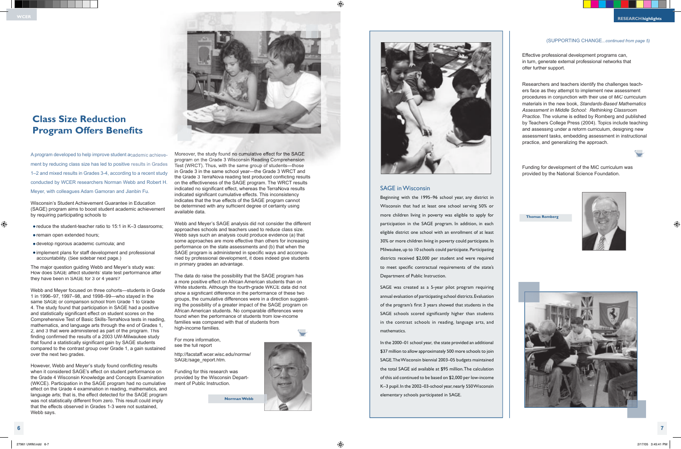Wisconsin's Student Achievement Guarantee in Education (SAGE) program aims to boost student academic achievement by requiring participating schools to

- reduce the student-teacher ratio to 15:1 in K–3 classrooms;
- remain open extended hours;
- develop rigorous academic curricula; and
- implement plans for staff development and professional accountability. (See sidebar next page.)

The major question guiding Webb and Meyer's study was: How does SAGE affect students' state test performance after they have been in SAGE for 3 or 4 years?

However, Webb and Meyer's study found conflicting results when it considered SAGE's effect on student performance on the Grade 4 Wisconsin Knowledge and Concepts Examination (WKCE). Participation in the SAGE program had no cumulative effect on the Grade 4 examination in reading, mathematics, and language arts; that is, the effect detected for the SAGE program was not statistically different from zero. This result could imply that the effects observed in Grades 1-3 were not sustained, Webb says.

Webb and Meyer focused on three cohorts—students in Grade 1 in 1996–97, 1997–98, and 1998–99—who stayed in the same SAGE or comparison school from Grade 1 to Grade 4. The study found that participation in SAGE had a positive and statistically significant effect on student scores on the Comprehensive Test of Basic Skills-TerraNova tests in reading, mathematics, and language arts through the end of Grades 1, 2, and 3 that were administered as part of the program. This finding confirmed the results of a 2003 UW-Milwaukee study that found a statistically significant gain by SAGE students compared to the contrast group over Grade 1, a gain sustained over the next two grades.

# **Class Size Reduction Program Offers Benefits**

A program developed to help improve student academic achievement by reducing class size has led to positive results in Grades 1–2 and mixed results in Grades 3-4, according to a recent study conducted by WCER researchers Norman Webb and Robert H. Meyer, with colleagues Adam Gamoran and Jianbin Fu. A program developed to help improve student academic achieve-<br>program on the Grade 3 Wisconsin Reading Comprehension<br>ment by reducing class size has led to positive results in Grades<br>Test (WRCT). Thus, with the same group

> Webb and Meyer's SAGE analysis did not consider the different approaches schools and teachers used to reduce class size. Webb says such an analysis could produce evidence (a) that some approaches are more effective than others for increasing performance on the state assessments and (b) that when the SAGE program is administered in specific ways and accompanied by professional development, it does indeed give students in primary grades an advantage.

> Test (WRCT). Thus, with the same group of students—those in Grade 3 in the same school year—the Grade 3 WRCT and the Grade 3 TerraNova reading test produced conflicting results on the effectiveness of the SAGE program. The WRCT results indicated no significant effect, whereas the TerraNova results indicated significant cumulative effects. This inconsistency indicates that the true effects of the SAGE program cannot be determined with any sufficient degree of certainty using available data. program on the Grade 3 Wisconsin Reading Comprehension

The data do raise the possibility that the SAGE program has a more positive effect on African American students than on White students. Although the fourth-grade WKCE data did not show a significant difference in the performance of these two groups, the cumulative differences were in a direction suggesting the possibility of a greater impact of the SAGE program on African American students. No comparable differences were found when the performance of students from low-income families was compared with that of students from high-income families.

For more information, see the full report http://facstaff.wcer.wisc.edu/normw/

SAGE/sage\_report.htm.

Funding for this research was provided by the Wisconsin Department of Public Instruction.

**Norman Webb**



Effective professional development programs can, in turn, generate external professional networks that offer further support.

Researchers and teachers identify the challenges teachers face as they attempt to implement new assessment procedures in conjunction with their use of *MiC* curriculum materials in the new book, *Standards-Based Mathematics Assessment in Middle School: Rethinking Classroom Practice.* The volume is edited by Romberg and published by Teachers College Press (2004). Topics include teaching and assessing under a reform curriculum, designing new assessment tasks, embedding assessment in instructional practice, and generalizing the approach.



Funding for development of the MiC curriculum was provided by the National Science Foundation.



**Thomas Romberg**





### SAGE in Wisconsin

Beginning with the 1995–96 school year, any district in Wisconsin that had at least one school serving 50% or more children living in poverty was eligible to apply for participation in the SAGE program. In addition, in each eligible district one school with an enrollment of at least 30% or more children living in poverty could participate. In Milwaukee, up to 10 schools could participate. Participating districts received \$2,000 per student and were required to meet specific contractual requirements of the state's Department of Public Instruction.

SAGE was created as a 5-year pilot program requiring annual evaluation of participating school districts. Evaluation of the program's first 3 years showed that students in the SAGE schools scored significantly higher than students in the contrast schools in reading, language arts, and mathematics.

In the 2000–01 school year, the state provided an additional \$37 million to allow approximately 500 more schools to join SAGE. The Wisconsin biennial 2003–05 budgets maintained the total SAGE aid available at \$95 million. The calculation of this aid continued to be based on \$2,000 per low-income K–3 pupil. In the 2002–03-school year, nearly 550 Wisconsin elementary schools participated in SAGE.

### (SUPPORTING CHANGE*...continued from page 5)*